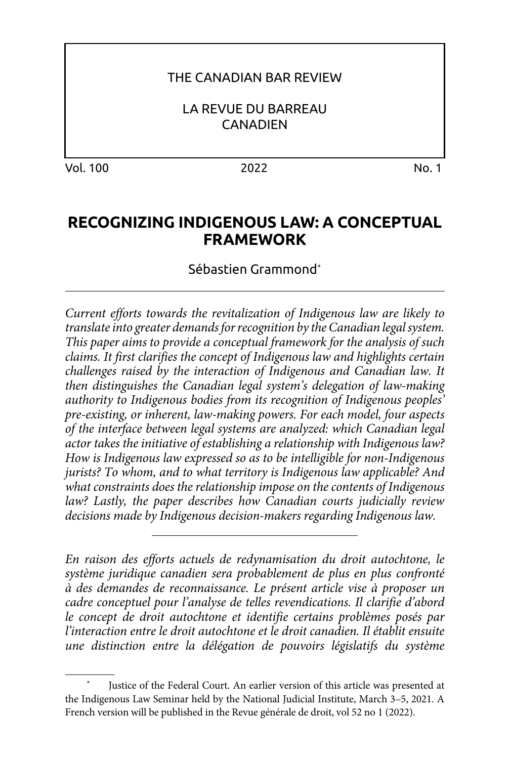### THE CANADIAN BAR REVIEW

LA REVUE DU BARREAU **CANADIEN** 

Vol. 100 2022 No. 1

# **RECOGNIZING INDIGENOUS LAW: A CONCEPTUAL FRAMEWORK**

Sébastien Grammond\*

*Current efforts towards the revitalization of Indigenous law are likely to translate into greater demands for recognition by the Canadian legal system. This paper aims to provide a conceptual framework for the analysis of such claims. It first clarifies the concept of Indigenous law and highlights certain challenges raised by the interaction of Indigenous and Canadian law. It then distinguishes the Canadian legal system's delegation of law-making authority to Indigenous bodies from its recognition of Indigenous peoples' pre-existing, or inherent, law-making powers. For each model, four aspects of the interface between legal systems are analyzed: which Canadian legal actor takes the initiative of establishing a relationship with Indigenous law? How is Indigenous law expressed so as to be intelligible for non-Indigenous jurists? To whom, and to what territory is Indigenous law applicable? And what constraints does the relationship impose on the contents of Indigenous law? Lastly, the paper describes how Canadian courts judicially review decisions made by Indigenous decision-makers regarding Indigenous law.*

*En raison des efforts actuels de redynamisation du droit autochtone, le système juridique canadien sera probablement de plus en plus confronté à des demandes de reconnaissance. Le présent article vise à proposer un cadre conceptuel pour l'analyse de telles revendications. Il clarifie d'abord le concept de droit autochtone et identifie certains problèmes posés par l'interaction entre le droit autochtone et le droit canadien. Il établit ensuite une distinction entre la délégation de pouvoirs législatifs du système* 

Justice of the Federal Court. An earlier version of this article was presented at the Indigenous Law Seminar held by the National Judicial Institute, March 3–5, 2021. A French version will be published in the Revue générale de droit, vol 52 no 1 (2022).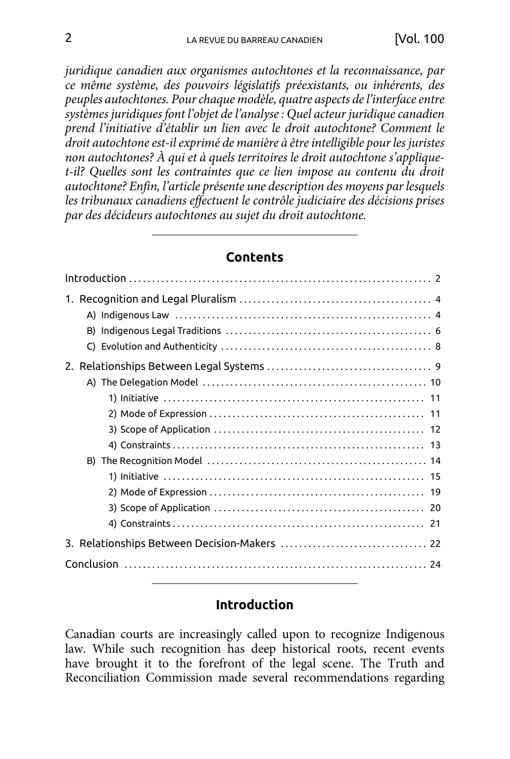*juridique canadien aux organismes autochtones et la reconnaissance, par ce même système, des pouvoirs législatifs préexistants, ou inhérents, des peuples autochtones. Pour chaque modèle, quatre aspects de l'interface entre systèmes juridiques font l'objet de l'analyse : Quel acteur juridique canadien prend l'initiative d'établir un lien avec le droit autochtone? Comment le droit autochtone est-il exprimé de manière à être intelligible pour les juristes non autochtones? À qui et à quels territoires le droit autochtone s'appliquet-il? Quelles sont les contraintes que ce lien impose au contenu du droit autochtone? Enfin, l'article présente une description des moyens par lesquels les tribunaux canadiens effectuent le contrôle judiciaire des décisions prises par des décideurs autochtones au sujet du droit autochtone.*

#### **Contents**

### **Introduction**

Canadian courts are increasingly called upon to recognize Indigenous law. While such recognition has deep historical roots, recent events have brought it to the forefront of the legal scene. The Truth and Reconciliation Commission made several recommendations regarding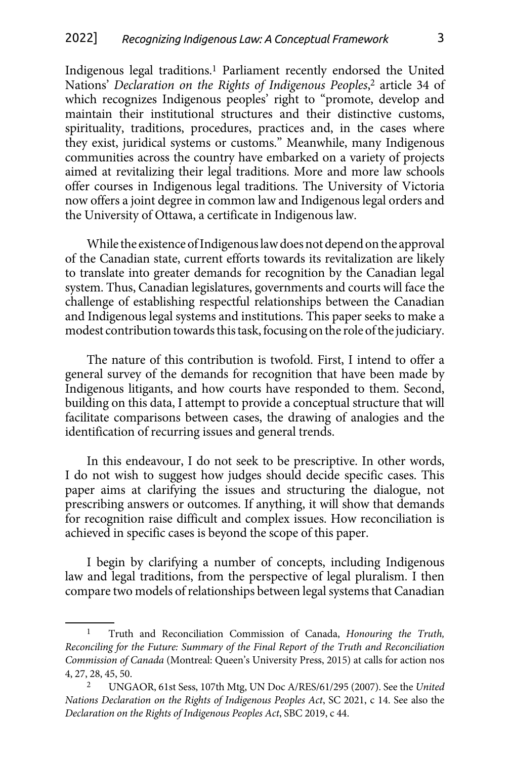Indigenous legal traditions.1 Parliament recently endorsed the United Nations' *Declaration on the Rights of Indigenous Peoples*, 2 article 34 of which recognizes Indigenous peoples' right to "promote, develop and maintain their institutional structures and their distinctive customs, spirituality, traditions, procedures, practices and, in the cases where they exist, juridical systems or customs." Meanwhile, many Indigenous communities across the country have embarked on a variety of projects aimed at revitalizing their legal traditions. More and more law schools offer courses in Indigenous legal traditions. The University of Victoria now offers a joint degree in common law and Indigenous legal orders and the University of Ottawa, a certificate in Indigenous law.

While the existence of Indigenous law does not depend on the approval of the Canadian state, current efforts towards its revitalization are likely to translate into greater demands for recognition by the Canadian legal system. Thus, Canadian legislatures, governments and courts will face the challenge of establishing respectful relationships between the Canadian and Indigenous legal systems and institutions. This paper seeks to make a modest contribution towards this task, focusing on the role of the judiciary.

The nature of this contribution is twofold. First, I intend to offer a general survey of the demands for recognition that have been made by Indigenous litigants, and how courts have responded to them. Second, building on this data, I attempt to provide a conceptual structure that will facilitate comparisons between cases, the drawing of analogies and the identification of recurring issues and general trends.

In this endeavour, I do not seek to be prescriptive. In other words, I do not wish to suggest how judges should decide specific cases. This paper aims at clarifying the issues and structuring the dialogue, not prescribing answers or outcomes. If anything, it will show that demands for recognition raise difficult and complex issues. How reconciliation is achieved in specific cases is beyond the scope of this paper.

I begin by clarifying a number of concepts, including Indigenous law and legal traditions, from the perspective of legal pluralism. I then compare two models of relationships between legal systems that Canadian

<sup>1</sup> Truth and Reconciliation Commission of Canada, *Honouring the Truth, Reconciling for the Future: Summary of the Final Report of the Truth and Reconciliation Commission of Canada* (Montreal: Queen's University Press, 2015) at calls for action nos 4, 27, 28, 45, 50.

<sup>2</sup> UNGAOR, 61st Sess, 107th Mtg, UN Doc A/RES/61/295 (2007). See the *United Nations Declaration on the Rights of Indigenous Peoples Act*, SC 2021, c 14. See also the *Declaration on the Rights of Indigenous Peoples Act*, SBC 2019, c 44.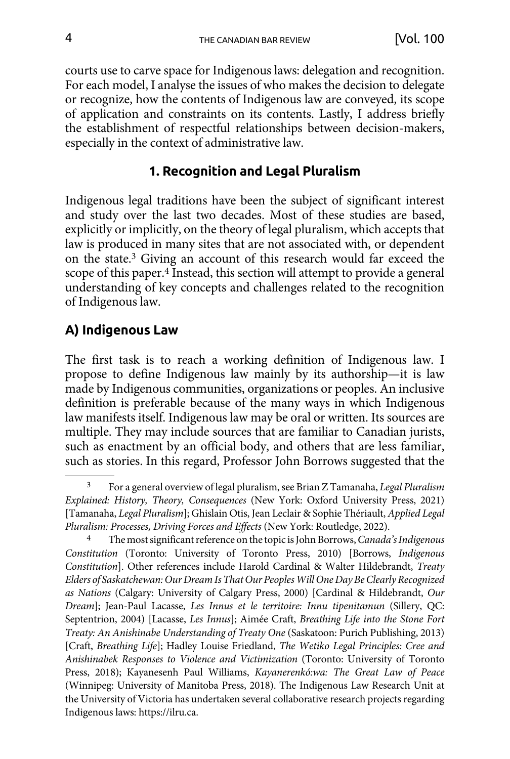<span id="page-3-0"></span>courts use to carve space for Indigenous laws: delegation and recognition. For each model, I analyse the issues of who makes the decision to delegate or recognize, how the contents of Indigenous law are conveyed, its scope of application and constraints on its contents. Lastly, I address briefly the establishment of respectful relationships between decision-makers, especially in the context of administrative law.

### **1. Recognition and Legal Pluralism**

Indigenous legal traditions have been the subject of significant interest and study over the last two decades. Most of these studies are based, explicitly or implicitly, on the theory of legal pluralism, which accepts that law is produced in many sites that are not associated with, or dependent on the state.3 Giving an account of this research would far exceed the scope of this paper.4 Instead, this section will attempt to provide a general understanding of key concepts and challenges related to the recognition of Indigenous law.

## **A) Indigenous Law**

The first task is to reach a working definition of Indigenous law. I propose to define Indigenous law mainly by its authorship—it is law made by Indigenous communities, organizations or peoples. An inclusive definition is preferable because of the many ways in which Indigenous law manifests itself. Indigenous law may be oral or written. Its sources are multiple. They may include sources that are familiar to Canadian jurists, such as enactment by an official body, and others that are less familiar, such as stories. In this regard, Professor John Borrows suggested that the

<sup>3</sup> For a general overview of legal pluralism, see Brian Z Tamanaha, *Legal Pluralism Explained: History, Theory, Consequences* (New York: Oxford University Press, 2021) [Tamanaha, *Legal Pluralism*]; Ghislain Otis, Jean Leclair & Sophie Thériault, *Applied Legal Pluralism: Processes, Driving Forces and Effects* (New York: Routledge, 2022).

<sup>4</sup> The most significant reference on the topic is John Borrows, *Canada's Indigenous Constitution* (Toronto: University of Toronto Press, 2010) [Borrows, *Indigenous Constitution*]. Other references include Harold Cardinal & Walter Hildebrandt, *Treaty Elders of Saskatchewan: Our Dream Is That Our Peoples Will One Day Be Clearly Recognized as Nations* (Calgary: University of Calgary Press, 2000) [Cardinal & Hildebrandt, *Our Dream*]; Jean-Paul Lacasse, *Les Innus et le territoire: Innu tipenitamun* (Sillery, QC: Septentrion, 2004) [Lacasse, *Les Innus*]; Aimée Craft, *Breathing Life into the Stone Fort Treaty: An Anishinabe Understanding of Treaty One* (Saskatoon: Purich Publishing, 2013) [Craft, *Breathing Life*]; Hadley Louise Friedland, *The Wetiko Legal Principles: Cree and Anishinabek Responses to Violence and Victimization* (Toronto: University of Toronto Press, 2018); Kayanesenh Paul Williams, *Kayanerenkó:wa: The Great Law of Peace* (Winnipeg: University of Manitoba Press, 2018). The Indigenous Law Research Unit at the University of Victoria has undertaken several collaborative research projects regarding Indigenous laws: https://ilru.ca.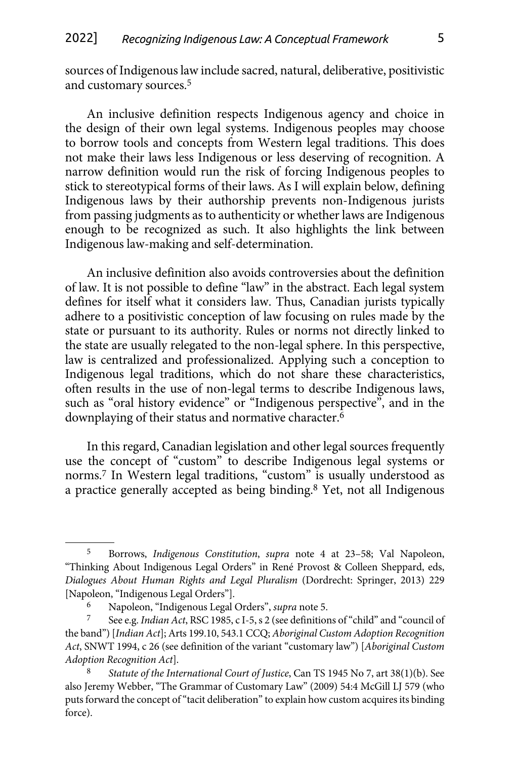sources of Indigenous law include sacred, natural, deliberative, positivistic and customary sources.5

An inclusive definition respects Indigenous agency and choice in the design of their own legal systems. Indigenous peoples may choose to borrow tools and concepts from Western legal traditions. This does not make their laws less Indigenous or less deserving of recognition. A narrow definition would run the risk of forcing Indigenous peoples to stick to stereotypical forms of their laws. As I will explain below, defining Indigenous laws by their authorship prevents non-Indigenous jurists from passing judgments as to authenticity or whether laws are Indigenous enough to be recognized as such. It also highlights the link between Indigenous law-making and self-determination.

An inclusive definition also avoids controversies about the definition of law. It is not possible to define "law" in the abstract. Each legal system defines for itself what it considers law. Thus, Canadian jurists typically adhere to a positivistic conception of law focusing on rules made by the state or pursuant to its authority. Rules or norms not directly linked to the state are usually relegated to the non-legal sphere. In this perspective, law is centralized and professionalized. Applying such a conception to Indigenous legal traditions, which do not share these characteristics, often results in the use of non-legal terms to describe Indigenous laws, such as "oral history evidence" or "Indigenous perspective", and in the downplaying of their status and normative character.6

In this regard, Canadian legislation and other legal sources frequently use the concept of "custom" to describe Indigenous legal systems or norms.7 In Western legal traditions, "custom" is usually understood as a practice generally accepted as being binding.8 Yet, not all Indigenous

<sup>5</sup> Borrows, *Indigenous Constitution*, *supra* note 4 at 23–58; Val Napoleon, "Thinking About Indigenous Legal Orders" in René Provost & Colleen Sheppard, eds, *Dialogues About Human Rights and Legal Pluralism* (Dordrecht: Springer, 2013) 229 [Napoleon, "Indigenous Legal Orders"].

<sup>6</sup> Napoleon, "Indigenous Legal Orders", *supra* note 5.

<sup>7</sup> See e.g. *Indian Act*, RSC 1985, c I-5, s 2 (see definitions of "child" and "council of the band") [*Indian Act*]; Arts 199.10, 543.1 CCQ; *Aboriginal Custom Adoption Recognition Act*, SNWT 1994, c 26 (see definition of the variant "customary law") [*Aboriginal Custom Adoption Recognition Act*].

<sup>8</sup> *Statute of the International Court of Justice*, Can TS 1945 No 7, art 38(1)(b). See also Jeremy Webber, "The Grammar of Customary Law" (2009) 54:4 McGill LJ 579 (who puts forward the concept of "tacit deliberation" to explain how custom acquires its binding force).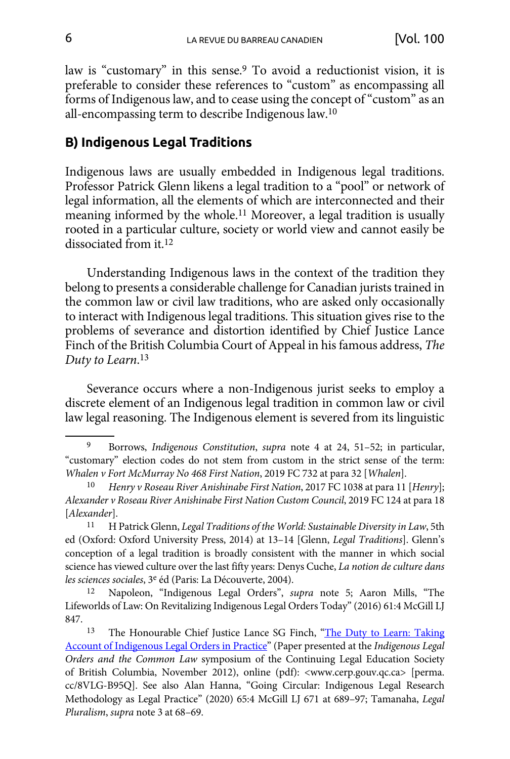<span id="page-5-0"></span>law is "customary" in this sense.9 To avoid a reductionist vision, it is preferable to consider these references to "custom" as encompassing all forms of Indigenous law, and to cease using the concept of "custom" as an all-encompassing term to describe Indigenous law.10

#### **B) Indigenous Legal Traditions**

Indigenous laws are usually embedded in Indigenous legal traditions. Professor Patrick Glenn likens a legal tradition to a "pool" or network of legal information, all the elements of which are interconnected and their meaning informed by the whole.11 Moreover, a legal tradition is usually rooted in a particular culture, society or world view and cannot easily be dissociated from it.12

Understanding Indigenous laws in the context of the tradition they belong to presents a considerable challenge for Canadian jurists trained in the common law or civil law traditions, who are asked only occasionally to interact with Indigenous legal traditions. This situation gives rise to the problems of severance and distortion identified by Chief Justice Lance Finch of the British Columbia Court of Appeal in his famous address, *The Duty to Learn*. 13

Severance occurs where a non-Indigenous jurist seeks to employ a discrete element of an Indigenous legal tradition in common law or civil law legal reasoning. The Indigenous element is severed from its linguistic

<sup>9</sup> Borrows, *Indigenous Constitution*, *supra* note 4 at 24, 51–52; in particular, "customary" election codes do not stem from custom in the strict sense of the term: *Whalen v Fort McMurray No 468 First Nation*, 2019 FC 732 at para 32 [*Whalen*].

<sup>10</sup> *Henry v Roseau River Anishinabe First Nation*, 2017 FC 1038 at para 11 [*Henry*]; *Alexander v Roseau River Anishinabe First Nation Custom Council*, 2019 FC 124 at para 18 [*Alexander*].

<sup>11</sup> H Patrick Glenn, *Legal Traditions of the World: Sustainable Diversity in Law*, 5th ed (Oxford: Oxford University Press, 2014) at 13–14 [Glenn, *Legal Traditions*]. Glenn's conception of a legal tradition is broadly consistent with the manner in which social science has viewed culture over the last fifty years: Denys Cuche, *La notion de culture dans les sciences sociales*, 3e éd (Paris: La Découverte, 2004).

<sup>12</sup> Napoleon, "Indigenous Legal Orders", *supra* note 5; Aaron Mills, "The Lifeworlds of Law: On Revitalizing Indigenous Legal Orders Today" (2016) 61:4 McGill LJ 847.

<sup>13</sup> The Honourable Chief Justice Lance SG Finch, "The Duty to Learn: Taking [Account of Indigenous Legal Orders in Practice"](https://perma.cc/8VLG-B95Q) (Paper presented at the *Indigenous Legal Orders and the Common Law* symposium of the Continuing Legal Education Society of British Columbia, November 2012), online (pdf): <www.cerp.gouv.qc.ca> [perma. cc/8VLG-B95Q]. See also Alan Hanna, "Going Circular: Indigenous Legal Research Methodology as Legal Practice" (2020) 65:4 McGill LJ 671 at 689–97; Tamanaha, *Legal Pluralism*, *supra* note 3 at 68–69.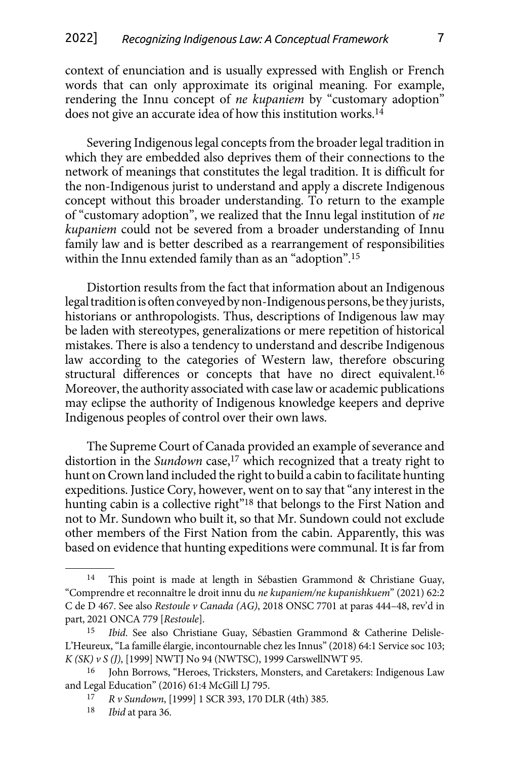context of enunciation and is usually expressed with English or French words that can only approximate its original meaning. For example, rendering the Innu concept of *ne kupaniem* by "customary adoption" does not give an accurate idea of how this institution works.14

Severing Indigenous legal concepts from the broader legal tradition in which they are embedded also deprives them of their connections to the network of meanings that constitutes the legal tradition. It is difficult for the non-Indigenous jurist to understand and apply a discrete Indigenous concept without this broader understanding. To return to the example of "customary adoption", we realized that the Innu legal institution of *ne kupaniem* could not be severed from a broader understanding of Innu family law and is better described as a rearrangement of responsibilities within the Innu extended family than as an "adoption".15

Distortion results from the fact that information about an Indigenous legal tradition is often conveyed by non-Indigenous persons, be they jurists, historians or anthropologists. Thus, descriptions of Indigenous law may be laden with stereotypes, generalizations or mere repetition of historical mistakes. There is also a tendency to understand and describe Indigenous law according to the categories of Western law, therefore obscuring structural differences or concepts that have no direct equivalent.16 Moreover, the authority associated with case law or academic publications may eclipse the authority of Indigenous knowledge keepers and deprive Indigenous peoples of control over their own laws.

The Supreme Court of Canada provided an example of severance and distortion in the *Sundown* case,<sup>17</sup> which recognized that a treaty right to hunt on Crown land included the right to build a cabin to facilitate hunting expeditions. Justice Cory, however, went on to say that "any interest in the hunting cabin is a collective right"<sup>18</sup> that belongs to the First Nation and not to Mr. Sundown who built it, so that Mr. Sundown could not exclude other members of the First Nation from the cabin. Apparently, this was based on evidence that hunting expeditions were communal. It is far from

<sup>14</sup> This point is made at length in Sébastien Grammond & Christiane Guay, "Comprendre et reconnaître le droit innu du *ne kupaniem/ne kupanishkuem*" (2021) 62:2 C de D 467. See also *Restoule v Canada (AG)*, 2018 ONSC 7701 at paras 444–48, rev'd in part, 2021 ONCA 779 [*Restoule*].

<sup>15</sup> *Ibid*. See also Christiane Guay, Sébastien Grammond & Catherine Delisle-L'Heureux, "La famille élargie, incontournable chez les Innus" (2018) 64:1 Service soc 103; *K (SK) v S (J)*, [1999] NWTJ No 94 (NWTSC), 1999 CarswellNWT 95.

<sup>16</sup> John Borrows, "Heroes, Tricksters, Monsters, and Caretakers: Indigenous Law and Legal Education" (2016) 61:4 McGill LJ 795.

<sup>17</sup> *R v Sundown*, [1999] 1 SCR 393, 170 DLR (4th) 385.

*Ibid* at para 36.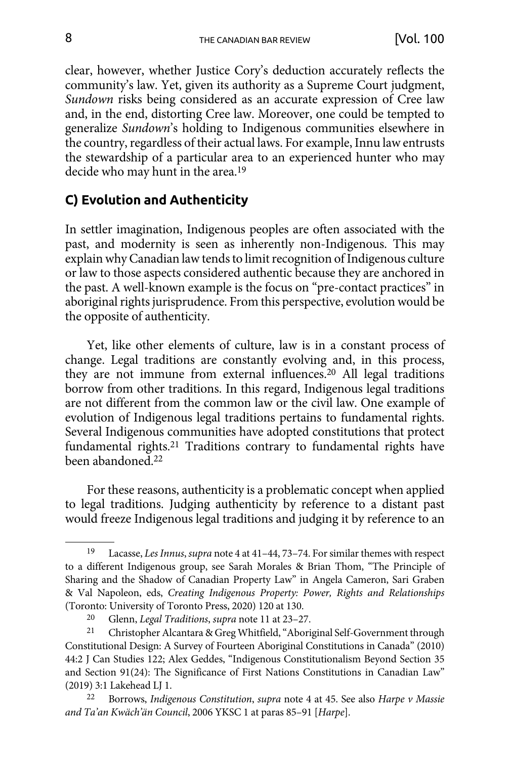<span id="page-7-0"></span>clear, however, whether Justice Cory's deduction accurately reflects the community's law. Yet, given its authority as a Supreme Court judgment, *Sundown* risks being considered as an accurate expression of Cree law and, in the end, distorting Cree law. Moreover, one could be tempted to generalize *Sundown*'s holding to Indigenous communities elsewhere in the country, regardless of their actual laws. For example, Innu law entrusts the stewardship of a particular area to an experienced hunter who may decide who may hunt in the area.19

## **C) Evolution and Authenticity**

In settler imagination, Indigenous peoples are often associated with the past, and modernity is seen as inherently non-Indigenous. This may explain why Canadian law tends to limit recognition of Indigenous culture or law to those aspects considered authentic because they are anchored in the past. A well-known example is the focus on "pre-contact practices" in aboriginal rights jurisprudence. From this perspective, evolution would be the opposite of authenticity.

Yet, like other elements of culture, law is in a constant process of change. Legal traditions are constantly evolving and, in this process, they are not immune from external influences.20 All legal traditions borrow from other traditions. In this regard, Indigenous legal traditions are not different from the common law or the civil law. One example of evolution of Indigenous legal traditions pertains to fundamental rights. Several Indigenous communities have adopted constitutions that protect fundamental rights.21 Traditions contrary to fundamental rights have been abandoned.22

For these reasons, authenticity is a problematic concept when applied to legal traditions. Judging authenticity by reference to a distant past would freeze Indigenous legal traditions and judging it by reference to an

<sup>19</sup> Lacasse, *Les Innus*, *supra* note 4 at 41–44, 73–74. For similar themes with respect to a different Indigenous group, see Sarah Morales & Brian Thom, "The Principle of Sharing and the Shadow of Canadian Property Law" in Angela Cameron, Sari Graben & Val Napoleon, eds, *Creating Indigenous Property: Power, Rights and Relationships* (Toronto: University of Toronto Press, 2020) 120 at 130.

<sup>20</sup> Glenn, *Legal Traditions*, *supra* note 11 at 23–27.

<sup>21</sup> Christopher Alcantara & Greg Whitfield, "Aboriginal Self-Government through Constitutional Design: A Survey of Fourteen Aboriginal Constitutions in Canada" (2010) 44:2 J Can Studies 122; Alex Geddes, "Indigenous Constitutionalism Beyond Section 35 and Section 91(24): The Significance of First Nations Constitutions in Canadian Law" (2019) 3:1 Lakehead LJ 1.

<sup>22</sup> Borrows, *Indigenous Constitution*, *supra* note 4 at 45. See also *Harpe v Massie and Ta'an Kwäch'än Council*, 2006 YKSC 1 at paras 85–91 [*Harpe*].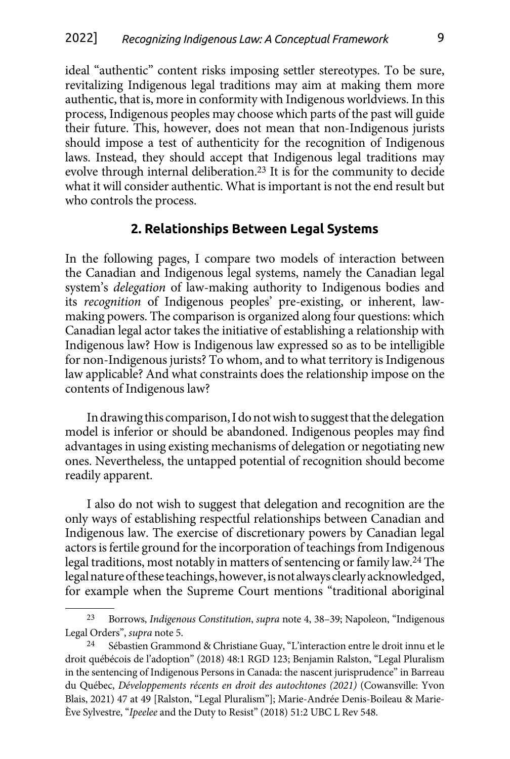<span id="page-8-0"></span>ideal "authentic" content risks imposing settler stereotypes. To be sure, revitalizing Indigenous legal traditions may aim at making them more authentic, that is, more in conformity with Indigenous worldviews. In this process, Indigenous peoples may choose which parts of the past will guide their future. This, however, does not mean that non-Indigenous jurists should impose a test of authenticity for the recognition of Indigenous laws. Instead, they should accept that Indigenous legal traditions may evolve through internal deliberation.23 It is for the community to decide what it will consider authentic. What is important is not the end result but who controls the process.

#### **2. Relationships Between Legal Systems**

In the following pages, I compare two models of interaction between the Canadian and Indigenous legal systems, namely the Canadian legal system's *delegation* of law-making authority to Indigenous bodies and its *recognition* of Indigenous peoples' pre-existing, or inherent, lawmaking powers. The comparison is organized along four questions: which Canadian legal actor takes the initiative of establishing a relationship with Indigenous law? How is Indigenous law expressed so as to be intelligible for non-Indigenous jurists? To whom, and to what territory is Indigenous law applicable? And what constraints does the relationship impose on the contents of Indigenous law?

In drawing this comparison, I do not wish to suggest that the delegation model is inferior or should be abandoned. Indigenous peoples may find advantages in using existing mechanisms of delegation or negotiating new ones. Nevertheless, the untapped potential of recognition should become readily apparent.

I also do not wish to suggest that delegation and recognition are the only ways of establishing respectful relationships between Canadian and Indigenous law. The exercise of discretionary powers by Canadian legal actors is fertile ground for the incorporation of teachings from Indigenous legal traditions, most notably in matters of sentencing or family law.24 The legal nature of these teachings, however, is not always clearly acknowledged, for example when the Supreme Court mentions "traditional aboriginal

<sup>23</sup> Borrows, *Indigenous Constitution*, *supra* note 4, 38–39; Napoleon, "Indigenous Legal Orders", *supra* note 5.

Sébastien Grammond & Christiane Guay, "L'interaction entre le droit innu et le droit québécois de l'adoption" (2018) 48:1 RGD 123; Benjamin Ralston, "Legal Pluralism in the sentencing of Indigenous Persons in Canada: the nascent jurisprudence" in Barreau du Québec, *Développements récents en droit des autochtones (2021)* (Cowansville: Yvon Blais, 2021) 47 at 49 [Ralston, "Legal Pluralism"]; Marie-Andrée Denis-Boileau & Marie-Ève Sylvestre, "*Ipeelee* and the Duty to Resist" (2018) 51:2 UBC L Rev 548.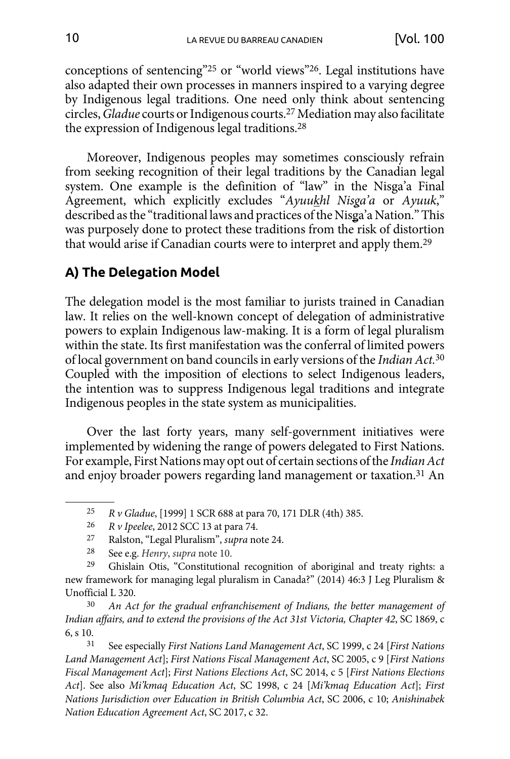<span id="page-9-0"></span>conceptions of sentencing"25 or "world views"26. Legal institutions have also adapted their own processes in manners inspired to a varying degree by Indigenous legal traditions. One need only think about sentencing circles, *Gladue* courts or Indigenous courts.27 Mediation may also facilitate the expression of Indigenous legal traditions.28

Moreover, Indigenous peoples may sometimes consciously refrain from seeking recognition of their legal traditions by the Canadian legal system. One example is the definition of "law" in the Nisga'a Final Agreement, which explicitly excludes "*Ayuukhl Nisga'a* or *Ayuuk*," described as the "traditional laws and practices of the Nisga'a Nation." This was purposely done to protect these traditions from the risk of distortion that would arise if Canadian courts were to interpret and apply them.29

# **A) The Delegation Model**

The delegation model is the most familiar to jurists trained in Canadian law. It relies on the well-known concept of delegation of administrative powers to explain Indigenous law-making. It is a form of legal pluralism within the state. Its first manifestation was the conferral of limited powers of local government on band councils in early versions of the *Indian Act.*<sup>30</sup> Coupled with the imposition of elections to select Indigenous leaders, the intention was to suppress Indigenous legal traditions and integrate Indigenous peoples in the state system as municipalities.

Over the last forty years, many self-government initiatives were implemented by widening the range of powers delegated to First Nations. For example, First Nations may opt out of certain sections of the *Indian Act* and enjoy broader powers regarding land management or taxation.31 An

<sup>25</sup> *R v Gladue*, [1999] 1 SCR 688 at para 70, 171 DLR (4th) 385.

<sup>26</sup> *R v Ipeelee*, 2012 SCC 13 at para 74.

<sup>27</sup> Ralston, "Legal Pluralism", *supra* note 24.

<sup>28</sup> See e.g. *Henry*, *supra* note 10.

<sup>29</sup> Ghislain Otis, "Constitutional recognition of aboriginal and treaty rights: a new framework for managing legal pluralism in Canada?" (2014) 46:3 J Leg Pluralism & Unofficial L 320.

<sup>30</sup> *An Act for the gradual enfranchisement of Indians, the better management of Indian affairs, and to extend the provisions of the Act 31st Victoria, Chapter 42*, SC 1869, c 6, s 10.

<sup>31</sup> See especially *First Nations Land Management Act*, SC 1999, c 24 [*First Nations Land Management Act*]; *First Nations Fiscal Management Act*, SC 2005, c 9 [*First Nations Fiscal Management Act*]; *First Nations Elections Act*, SC 2014, c 5 [*First Nations Elections Act*]. See also *Mi'kmaq Education Act*, SC 1998, c 24 [*Mi'kmaq Education Act*]; *First Nations Jurisdiction over Education in British Columbia Act*, SC 2006, c 10; *Anishinabek Nation Education Agreement Act*, SC 2017, c 32.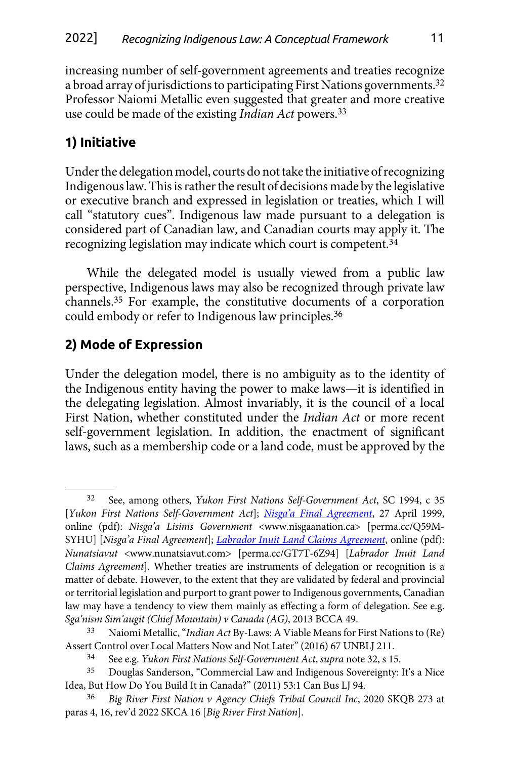<span id="page-10-0"></span>increasing number of self-government agreements and treaties recognize a broad array of jurisdictions to participating First Nations governments.32 Professor Naiomi Metallic even suggested that greater and more creative use could be made of the existing *Indian Act* powers.33

# **1) Initiative**

Under the delegation model, courts do not take the initiative of recognizing Indigenous law. This is rather the result of decisions made by the legislative or executive branch and expressed in legislation or treaties, which I will call "statutory cues". Indigenous law made pursuant to a delegation is considered part of Canadian law, and Canadian courts may apply it. The recognizing legislation may indicate which court is competent.34

While the delegated model is usually viewed from a public law perspective, Indigenous laws may also be recognized through private law channels.35 For example, the constitutive documents of a corporation could embody or refer to Indigenous law principles.36

# **2) Mode of Expression**

Under the delegation model, there is no ambiguity as to the identity of the Indigenous entity having the power to make laws—it is identified in the delegating legislation. Almost invariably, it is the council of a local First Nation, whether constituted under the *Indian Act* or more recent self-government legislation. In addition, the enactment of significant laws, such as a membership code or a land code, must be approved by the

<sup>32</sup> See, among others, *Yukon First Nations Self-Government Act*, SC 1994, c 35 [*Yukon First Nations Self-Government Act*]; *[Nisga'a Final Agreement](https://perma.cc/Q59M-SYHU)*, 27 April 1999, online (pdf): *Nisga'a Lisims Government* <www.nisgaanation.ca> [perma.cc/Q59M-SYHU] [*Nisga'a Final Agreement*]; *[Labrador Inuit Land Claims Agreement](https://perma.cc/GT7T-6Z94)*, online (pdf): *Nunatsiavut* <www.nunatsiavut.com> [perma.cc/GT7T-6Z94] [*Labrador Inuit Land Claims Agreement*]. Whether treaties are instruments of delegation or recognition is a matter of debate. However, to the extent that they are validated by federal and provincial or territorial legislation and purport to grant power to Indigenous governments, Canadian law may have a tendency to view them mainly as effecting a form of delegation. See e.g. *Sga'nism Sim'augit (Chief Mountain) v Canada (AG)*, 2013 BCCA 49.

<sup>33</sup> Naiomi Metallic, "*Indian Act* By-Laws: A Viable Means for First Nations to (Re) Assert Control over Local Matters Now and Not Later" (2016) 67 UNBLJ 211.

<sup>34</sup> See e.g. *Yukon First Nations Self-Government Act*, *supra* note 32, s 15.

<sup>35</sup> Douglas Sanderson, "Commercial Law and Indigenous Sovereignty: It's a Nice Idea, But How Do You Build It in Canada?" (2011) 53:1 Can Bus LJ 94.

<sup>36</sup> *Big River First Nation v Agency Chiefs Tribal Council Inc*, 2020 SKQB 273 at paras 4, 16, rev'd 2022 SKCA 16 [*Big River First Nation*].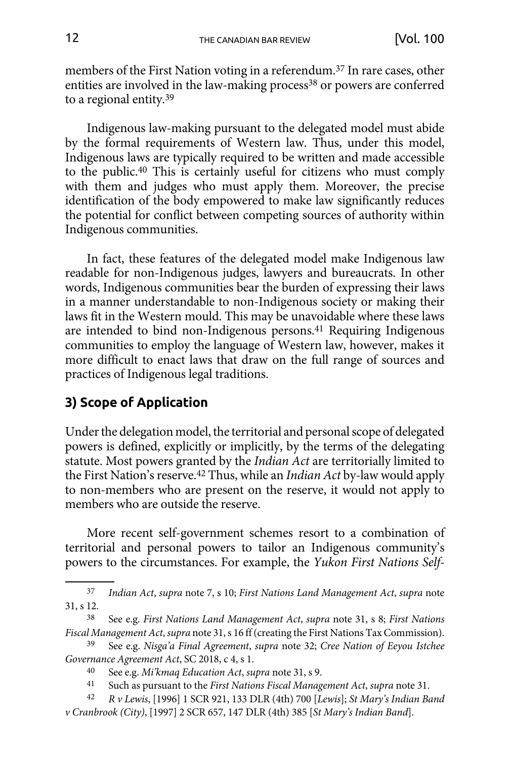<span id="page-11-0"></span>members of the First Nation voting in a referendum.37 In rare cases, other entities are involved in the law-making process<sup>38</sup> or powers are conferred to a regional entity.39

Indigenous law-making pursuant to the delegated model must abide by the formal requirements of Western law. Thus, under this model, Indigenous laws are typically required to be written and made accessible to the public.40 This is certainly useful for citizens who must comply with them and judges who must apply them. Moreover, the precise identification of the body empowered to make law significantly reduces the potential for conflict between competing sources of authority within Indigenous communities.

In fact, these features of the delegated model make Indigenous law readable for non-Indigenous judges, lawyers and bureaucrats. In other words, Indigenous communities bear the burden of expressing their laws in a manner understandable to non-Indigenous society or making their laws fit in the Western mould. This may be unavoidable where these laws are intended to bind non-Indigenous persons.<sup>41</sup> Requiring Indigenous communities to employ the language of Western law, however, makes it more difficult to enact laws that draw on the full range of sources and practices of Indigenous legal traditions.

# **3) Scope of Application**

Under the delegation model, the territorial and personal scope of delegated powers is defined, explicitly or implicitly, by the terms of the delegating statute. Most powers granted by the *Indian Act* are territorially limited to the First Nation's reserve.42 Thus, while an *Indian Act* by-law would apply to non-members who are present on the reserve, it would not apply to members who are outside the reserve.

More recent self-government schemes resort to a combination of territorial and personal powers to tailor an Indigenous community's powers to the circumstances. For example, the *Yukon First Nations Self-*

<sup>37</sup> *Indian Act*, *supra* note 7, s 10; *First Nations Land Management Act*, *supra* note 31, s 12.

<sup>38</sup> See e.g. *First Nations Land Management Act*, *supra* note 31, s 8; *First Nations Fiscal Management Act*, *supra* note 31, s 16 ff (creating the First Nations Tax Commission).

<sup>39</sup> See e.g. *Nisga'a Final Agreement*, *supra* note 32; *Cree Nation of Eeyou Istchee Governance Agreement Act*, SC 2018, c 4, s 1.

<sup>40</sup> See e.g. *Mi'kmaq Education Act*, *supra* note 31, s 9.

<sup>41</sup> Such as pursuant to the *First Nations Fiscal Management Act*, *supra* note 31.

<sup>42</sup> *R v Lewis*, [1996] 1 SCR 921, 133 DLR (4th) 700 [*Lewis*]; *St Mary's Indian Band v Cranbrook (City)*, [1997] 2 SCR 657, 147 DLR (4th) 385 [*St Mary's Indian Band*].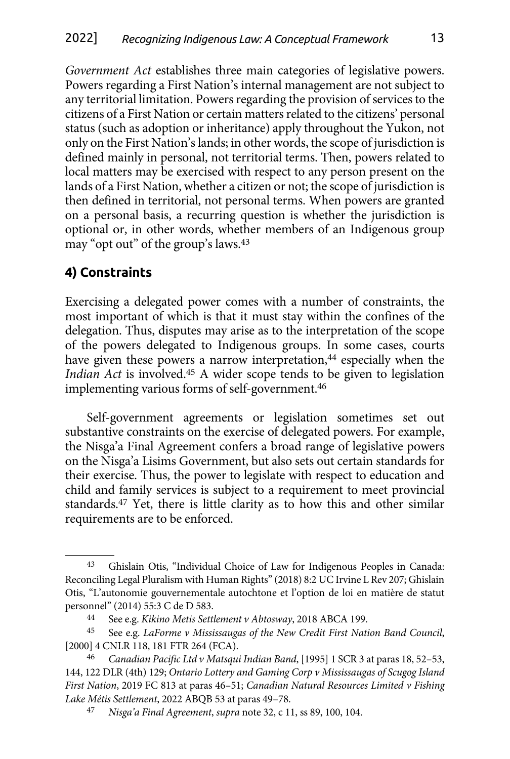<span id="page-12-0"></span>*Government Act* establishes three main categories of legislative powers. Powers regarding a First Nation's internal management are not subject to any territorial limitation. Powers regarding the provision of services to the citizens of a First Nation or certain matters related to the citizens' personal status (such as adoption or inheritance) apply throughout the Yukon, not only on the First Nation's lands; in other words, the scope of jurisdiction is defined mainly in personal, not territorial terms. Then, powers related to local matters may be exercised with respect to any person present on the lands of a First Nation, whether a citizen or not; the scope of jurisdiction is then defined in territorial, not personal terms. When powers are granted on a personal basis, a recurring question is whether the jurisdiction is optional or, in other words, whether members of an Indigenous group may "opt out" of the group's laws.43

# **4) Constraints**

Exercising a delegated power comes with a number of constraints, the most important of which is that it must stay within the confines of the delegation. Thus, disputes may arise as to the interpretation of the scope of the powers delegated to Indigenous groups. In some cases, courts have given these powers a narrow interpretation,<sup>44</sup> especially when the *Indian Act* is involved.45 A wider scope tends to be given to legislation implementing various forms of self-government.46

Self-government agreements or legislation sometimes set out substantive constraints on the exercise of delegated powers. For example, the Nisga'a Final Agreement confers a broad range of legislative powers on the Nisga'a Lisims Government, but also sets out certain standards for their exercise. Thus, the power to legislate with respect to education and child and family services is subject to a requirement to meet provincial standards.47 Yet, there is little clarity as to how this and other similar requirements are to be enforced.

<sup>43</sup> Ghislain Otis, "Individual Choice of Law for Indigenous Peoples in Canada: Reconciling Legal Pluralism with Human Rights" (2018) 8:2 UC Irvine L Rev 207; Ghislain Otis, "L'autonomie gouvernementale autochtone et l'option de loi en matière de statut personnel" (2014) 55:3 C de D 583.

<sup>44</sup> See e.g. *Kikino Metis Settlement v Abtosway*, 2018 ABCA 199.

<sup>45</sup> See e.g. *LaForme v Mississaugas of the New Credit First Nation Band Council*, [2000] 4 CNLR 118, 181 FTR 264 (FCA).

<sup>46</sup> *Canadian Pacific Ltd v Matsqui Indian Band*, [1995] 1 SCR 3 at paras 18, 52–53, 144, 122 DLR (4th) 129; *Ontario Lottery and Gaming Corp v Mississaugas of Scugog Island First Nation*, 2019 FC 813 at paras 46–51; *Canadian Natural Resources Limited v Fishing Lake Métis Settlement*, 2022 ABQB 53 at paras 49–78.

<sup>47</sup> *Nisga'a Final Agreement*, *supra* note 32, c 11, ss 89, 100, 104.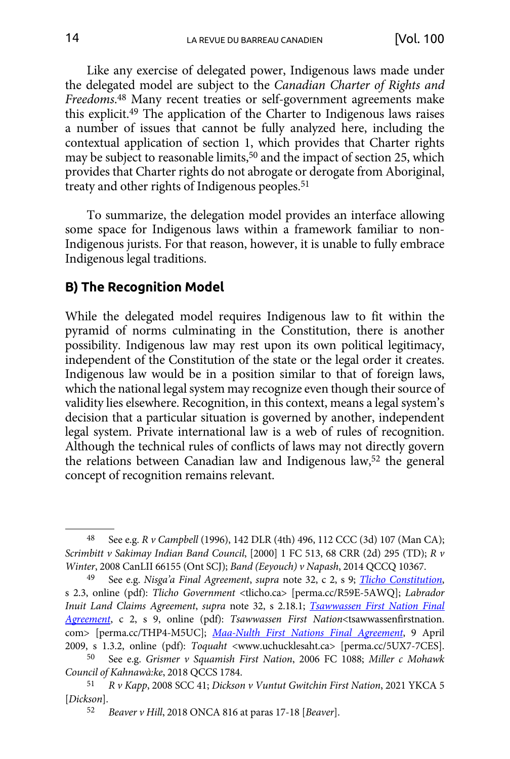<span id="page-13-0"></span>Like any exercise of delegated power, Indigenous laws made under the delegated model are subject to the *Canadian Charter of Rights and Freedoms*. 48 Many recent treaties or self-government agreements make this explicit.49 The application of the Charter to Indigenous laws raises a number of issues that cannot be fully analyzed here, including the contextual application of section 1, which provides that Charter rights may be subject to reasonable limits,<sup>50</sup> and the impact of section 25, which provides that Charter rights do not abrogate or derogate from Aboriginal, treaty and other rights of Indigenous peoples.<sup>51</sup>

To summarize, the delegation model provides an interface allowing some space for Indigenous laws within a framework familiar to non-Indigenous jurists. For that reason, however, it is unable to fully embrace Indigenous legal traditions.

#### **B) The Recognition Model**

While the delegated model requires Indigenous law to fit within the pyramid of norms culminating in the Constitution, there is another possibility. Indigenous law may rest upon its own political legitimacy, independent of the Constitution of the state or the legal order it creates. Indigenous law would be in a position similar to that of foreign laws, which the national legal system may recognize even though their source of validity lies elsewhere. Recognition, in this context, means a legal system's decision that a particular situation is governed by another, independent legal system. Private international law is a web of rules of recognition. Although the technical rules of conflicts of laws may not directly govern the relations between Canadian law and Indigenous law,52 the general concept of recognition remains relevant.

<sup>48</sup> See e.g. *R v Campbell* (1996), 142 DLR (4th) 496, 112 CCC (3d) 107 (Man CA); *Scrimbitt v Sakimay Indian Band Council*, [2000] 1 FC 513, 68 CRR (2d) 295 (TD); *R v Winter*, 2008 CanLII 66155 (Ont SCJ); *Band (Eeyouch) v Napash*, 2014 QCCQ 10367.

<sup>49</sup> See e.g. *Nisga'a Final Agreement*, *supra* note 32, c 2, s 9; *[Tlicho Constitution](https://perma.cc/R59E-5AWQ)*, s 2.3, online (pdf): *Tlicho Government* <tlicho.ca> [perma.cc/R59E-5AWQ]; *Labrador Inuit Land Claims Agreement*, *supra* note 32, s 2.18.1; *[Tsawwassen First Nation Final](https://perma.cc/THP4-M5UC) [Agreement](https://perma.cc/THP4-M5UC)*, c 2, s 9, online (pdf): *Tsawwassen First Nation*<tsawwassenfirstnation. com> [perma.cc/THP4-M5UC]; *[Maa-Nulth First Nations Final Agreement](https://perma.cc/5UX7-7CES)*, 9 April 2009, s 1.3.2, online (pdf): *Toquaht* <www.uchucklesaht.ca> [perma.cc/5UX7-7CES].

<sup>50</sup> See e.g. *Grismer v Squamish First Nation*, 2006 FC 1088; *Miller c Mohawk Council of Kahnawà:ke*, 2018 QCCS 1784.

<sup>51</sup> *R v Kapp*, 2008 SCC 41; *Dickson v Vuntut Gwitchin First Nation*, 2021 YKCA 5 [*Dickson*].

<sup>52</sup> *Beaver v Hill*, 2018 ONCA 816 at paras 17-18 [*Beaver*].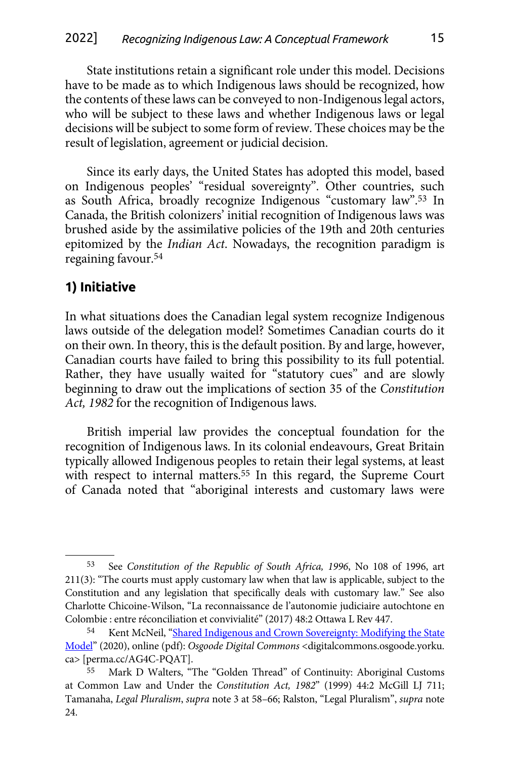<span id="page-14-0"></span>State institutions retain a significant role under this model. Decisions have to be made as to which Indigenous laws should be recognized, how the contents of these laws can be conveyed to non-Indigenous legal actors, who will be subject to these laws and whether Indigenous laws or legal decisions will be subject to some form of review. These choices may be the result of legislation, agreement or judicial decision.

Since its early days, the United States has adopted this model, based on Indigenous peoples' "residual sovereignty". Other countries, such as South Africa, broadly recognize Indigenous "customary law".53 In Canada, the British colonizers' initial recognition of Indigenous laws was brushed aside by the assimilative policies of the 19th and 20th centuries epitomized by the *Indian Act*. Nowadays, the recognition paradigm is regaining favour.54

# **1) Initiative**

In what situations does the Canadian legal system recognize Indigenous laws outside of the delegation model? Sometimes Canadian courts do it on their own. In theory, this is the default position. By and large, however, Canadian courts have failed to bring this possibility to its full potential. Rather, they have usually waited for "statutory cues" and are slowly beginning to draw out the implications of section 35 of the *Constitution Act, 1982* for the recognition of Indigenous laws.

British imperial law provides the conceptual foundation for the recognition of Indigenous laws. In its colonial endeavours, Great Britain typically allowed Indigenous peoples to retain their legal systems, at least with respect to internal matters.<sup>55</sup> In this regard, the Supreme Court of Canada noted that "aboriginal interests and customary laws were

<sup>53</sup> See *Constitution of the Republic of South Africa, 1996*, No 108 of 1996, art 211(3): "The courts must apply customary law when that law is applicable, subject to the Constitution and any legislation that specifically deals with customary law." See also Charlotte Chicoine-Wilson, "La reconnaissance de l'autonomie judiciaire autochtone en Colombie : entre réconciliation et convivialité" (2017) 48:2 Ottawa L Rev 447.

<sup>54</sup> Kent McNeil, "[Shared Indigenous and Crown Sovereignty: Modifying the State](https://perma.cc/AG4C-PQAT) [Model](https://perma.cc/AG4C-PQAT)" (2020), online (pdf): *Osgoode Digital Commons* <digitalcommons.osgoode.yorku. ca> [perma.cc/AG4C-PQAT].

<sup>55</sup> Mark D Walters, "The "Golden Thread" of Continuity: Aboriginal Customs at Common Law and Under the *Constitution Act, 1982*" (1999) 44:2 McGill LJ 711; Tamanaha, *Legal Pluralism*, *supra* note 3 at 58–66; Ralston, "Legal Pluralism", *supra* note 24.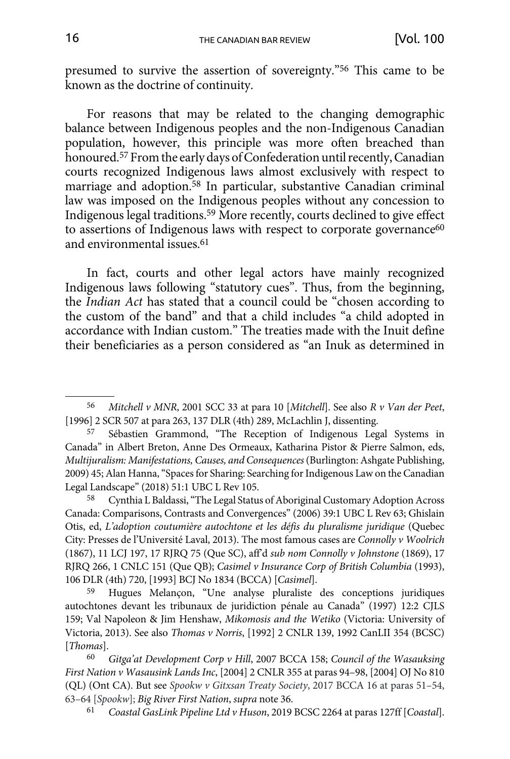presumed to survive the assertion of sovereignty."56 This came to be known as the doctrine of continuity.

For reasons that may be related to the changing demographic balance between Indigenous peoples and the non-Indigenous Canadian population, however, this principle was more often breached than honoured.57 From the early days of Confederation until recently, Canadian courts recognized Indigenous laws almost exclusively with respect to marriage and adoption.<sup>58</sup> In particular, substantive Canadian criminal law was imposed on the Indigenous peoples without any concession to Indigenous legal traditions.59 More recently, courts declined to give effect to assertions of Indigenous laws with respect to corporate governance<sup>60</sup> and environmental issues.61

In fact, courts and other legal actors have mainly recognized Indigenous laws following "statutory cues". Thus, from the beginning, the *Indian Act* has stated that a council could be "chosen according to the custom of the band" and that a child includes "a child adopted in accordance with Indian custom." The treaties made with the Inuit define their beneficiaries as a person considered as "an Inuk as determined in

58 Cynthia L Baldassi, "The Legal Status of Aboriginal Customary Adoption Across Canada: Comparisons, Contrasts and Convergences" (2006) 39:1 UBC L Rev 63; Ghislain Otis, ed, *L'adoption coutumière autochtone et les défis du pluralisme juridique* (Quebec City: Presses de l'Université Laval, 2013). The most famous cases are *Connolly v Woolrich* (1867), 11 LCJ 197, 17 RJRQ 75 (Que SC), aff'd *sub nom Connolly v Johnstone* (1869), 17 RJRQ 266, 1 CNLC 151 (Que QB); *Casimel v Insurance Corp of British Columbia* (1993), 106 DLR (4th) 720, [1993] BCJ No 1834 (BCCA) [*Casimel*].

59 Hugues Melançon, "Une analyse pluraliste des conceptions juridiques autochtones devant les tribunaux de juridiction pénale au Canada" (1997) 12:2 CJLS 159; Val Napoleon & Jim Henshaw, *Mikomosis and the Wetiko* (Victoria: University of Victoria, 2013). See also *Thomas v Norris*, [1992] 2 CNLR 139, 1992 CanLII 354 (BCSC) [*Thomas*].

60 *Gitga'at Development Corp v Hill*, 2007 BCCA 158; *Council of the Wasauksing First Nation v Wasausink Lands Inc*, [2004] 2 CNLR 355 at paras 94–98, [2004] OJ No 810 (QL) (Ont CA). But see *Spookw v Gitxsan Treaty Society*, 2017 BCCA 16 at paras 51–54, 63–64 [*Spookw*]; *Big River First Nation*, *supra* note 36.

61 *Coastal GasLink Pipeline Ltd v Huson*, 2019 BCSC 2264 at paras 127ff [*Coastal*].

<sup>56</sup> *Mitchell v MNR*, 2001 SCC 33 at para 10 [*Mitchell*]. See also *R v Van der Peet*, [1996] 2 SCR 507 at para 263, 137 DLR (4th) 289, McLachlin J, dissenting.

Sébastien Grammond, "The Reception of Indigenous Legal Systems in Canada" in Albert Breton, Anne Des Ormeaux, Katharina Pistor & Pierre Salmon, eds, *Multijuralism: Manifestations, Causes, and Consequences* (Burlington: Ashgate Publishing, 2009) 45; Alan Hanna, "Spaces for Sharing: Searching for Indigenous Law on the Canadian Legal Landscape" (2018) 51:1 UBC L Rev 105.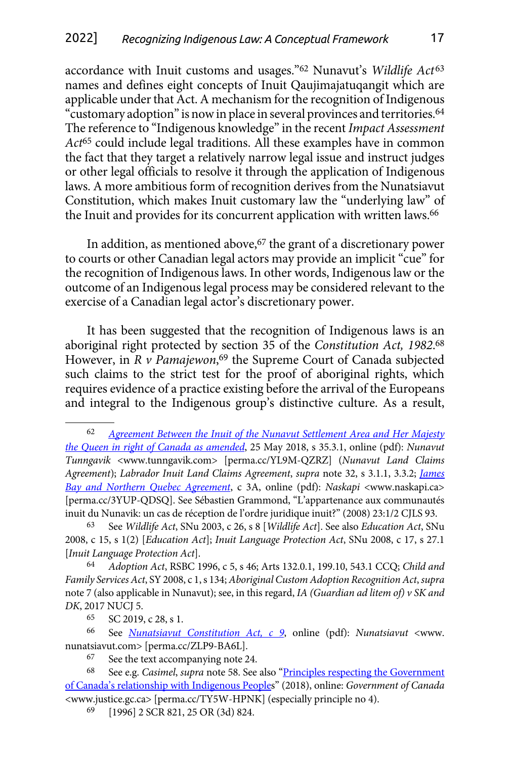accordance with Inuit customs and usages."62 Nunavut's *Wildlife Act*<sup>63</sup> names and defines eight concepts of Inuit Qaujimajatuqangit which are applicable under that Act. A mechanism for the recognition of Indigenous "customary adoption" is now in place in several provinces and territories.64 The reference to "Indigenous knowledge" in the recent *Impact Assessment Act*65 could include legal traditions. All these examples have in common the fact that they target a relatively narrow legal issue and instruct judges or other legal officials to resolve it through the application of Indigenous laws. A more ambitious form of recognition derives from the Nunatsiavut Constitution, which makes Inuit customary law the "underlying law" of the Inuit and provides for its concurrent application with written laws.<sup>66</sup>

In addition, as mentioned above,<sup>67</sup> the grant of a discretionary power to courts or other Canadian legal actors may provide an implicit "cue" for the recognition of Indigenous laws. In other words, Indigenous law or the outcome of an Indigenous legal process may be considered relevant to the exercise of a Canadian legal actor's discretionary power.

It has been suggested that the recognition of Indigenous laws is an aboriginal right protected by section 35 of the *Constitution Act, 1982*. 68 However, in *R v Pamajewon*, 69 the Supreme Court of Canada subjected such claims to the strict test for the proof of aboriginal rights, which requires evidence of a practice existing before the arrival of the Europeans and integral to the Indigenous group's distinctive culture. As a result,

64 *Adoption Act*, RSBC 1996, c 5, s 46; Arts 132.0.1, 199.10, 543.1 CCQ; *Child and Family Services Act*, SY 2008, c 1, s 134; *Aboriginal Custom Adoption Recognition Act*, *supra*  note 7 (also applicable in Nunavut); see, in this regard, *IA (Guardian ad litem of) v SK and DK*, 2017 NUCJ 5.

<sup>62</sup> *[Agreement Between the Inuit of the Nunavut Settlement Area and Her Majesty](https://perma.cc/YL9M-QZRZ) [the Queen in right of Canada as amended](https://perma.cc/YL9M-QZRZ)*, 25 May 2018, s 35.3.1, online (pdf): *Nunavut Tunngavik* <www.tunngavik.com> [perma.cc/YL9M-QZRZ] (*Nunavut Land Claims Agreement*); *Labrador Inuit Land Claims Agreement*, *supra* note 32, s 3.1.1, 3.3.2; *[James](https://perma.cc/3YUP-QDSQ) [Bay and Northern Quebec Agreement](https://perma.cc/3YUP-QDSQ)*, c 3A, online (pdf): *Naskapi* <www.naskapi.ca> [perma.cc/3YUP-QDSQ]. See Sébastien Grammond, "L'appartenance aux communautés inuit du Nunavik: un cas de réception de l'ordre juridique inuit?" (2008) 23:1/2 CJLS 93.

<sup>63</sup> See *Wildlife Act*, SNu 2003, c 26, s 8 [*Wildlife Act*]. See also *Education Act*, SNu 2008, c 15, s 1(2) [*Education Act*]; *Inuit Language Protection Act*, SNu 2008, c 17, s 27.1 [*Inuit Language Protection Act*].

<sup>65</sup> SC 2019, c 28, s 1.

<sup>66</sup> See *[Nunatsiavut Constitution Act, c 9](https://perma.cc/ZLP9-BA6L)*, online (pdf): *Nunatsiavut* <www. nunatsiavut.com> [perma.cc/ZLP9-BA6L].

<sup>67</sup> See the text accompanying note 24.

<sup>68</sup> See e.g. *Casimel*, *supra* note 58. See also "[Principles respecting the Government](https://perma.cc/TY5W-HPNK) [of Canada's relationship with Indigenous Peoples](https://perma.cc/TY5W-HPNK)" (2018), online: *Government of Canada* <www.justice.gc.ca> [perma.cc/TY5W-HPNK] (especially principle no 4).

<sup>69</sup> [1996] 2 SCR 821, 25 OR (3d) 824.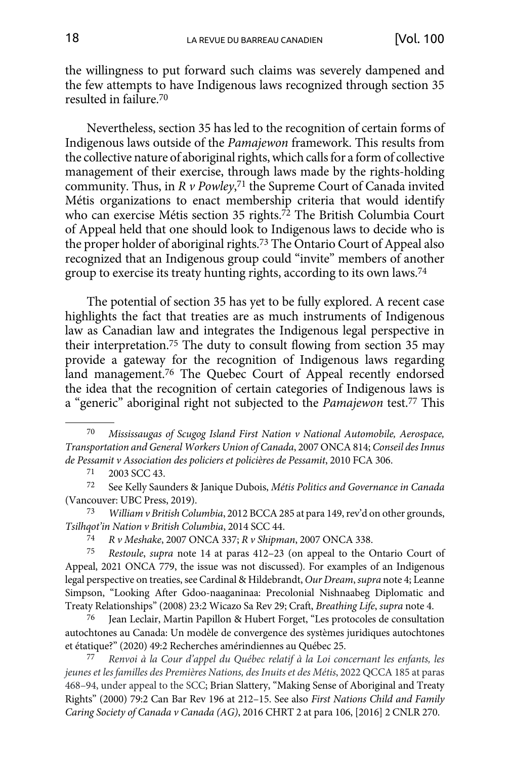the willingness to put forward such claims was severely dampened and the few attempts to have Indigenous laws recognized through section 35 resulted in failure.70

Nevertheless, section 35 has led to the recognition of certain forms of Indigenous laws outside of the *Pamajewon* framework. This results from the collective nature of aboriginal rights, which calls for a form of collective management of their exercise, through laws made by the rights-holding community. Thus, in *R v Powley*, 71 the Supreme Court of Canada invited Métis organizations to enact membership criteria that would identify who can exercise Métis section 35 rights.<sup>72</sup> The British Columbia Court of Appeal held that one should look to Indigenous laws to decide who is the proper holder of aboriginal rights.73 The Ontario Court of Appeal also recognized that an Indigenous group could "invite" members of another group to exercise its treaty hunting rights, according to its own laws.74

The potential of section 35 has yet to be fully explored. A recent case highlights the fact that treaties are as much instruments of Indigenous law as Canadian law and integrates the Indigenous legal perspective in their interpretation.75 The duty to consult flowing from section 35 may provide a gateway for the recognition of Indigenous laws regarding land management.<sup>76</sup> The Quebec Court of Appeal recently endorsed the idea that the recognition of certain categories of Indigenous laws is a "generic" aboriginal right not subjected to the *Pamajewon* test.77 This

73 *William v British Columbia*, 2012 BCCA 285 at para 149, rev'd on other grounds, *Tsilhqot'in Nation v British Columbia*, 2014 SCC 44.

75 *Restoule*, *supra* note 14 at paras 412–23 (on appeal to the Ontario Court of Appeal, 2021 ONCA 779, the issue was not discussed). For examples of an Indigenous legal perspective on treaties, see Cardinal & Hildebrandt, *Our Dream*, *supra* note 4; Leanne Simpson, "Looking After Gdoo-naaganinaa: Precolonial Nishnaabeg Diplomatic and Treaty Relationships" (2008) 23:2 Wicazo Sa Rev 29; Craft, *Breathing Life*, *supra* note 4.

76 Jean Leclair, Martin Papillon & Hubert Forget, "Les protocoles de consultation autochtones au Canada: Un modèle de convergence des systèmes juridiques autochtones et étatique?" (2020) 49:2 Recherches amérindiennes au Québec 25.

77 *Renvoi à la Cour d'appel du Québec relatif à la Loi concernant les enfants, les jeunes et les familles des Premières Nations, des Inuits et des Métis*, 2022 QCCA 185 at paras 468–94, under appeal to the SCC; Brian Slattery, "Making Sense of Aboriginal and Treaty Rights" (2000) 79:2 Can Bar Rev 196 at 212–15. See also *First Nations Child and Family Caring Society of Canada v Canada (AG)*, 2016 CHRT 2 at para 106, [2016] 2 CNLR 270.

<sup>70</sup> *Mississaugas of Scugog Island First Nation v National Automobile, Aerospace, Transportation and General Workers Union of Canada*, 2007 ONCA 814; *Conseil des Innus de Pessamit v Association des policiers et policières de Pessamit*, 2010 FCA 306.

<sup>71</sup> 2003 SCC 43.

<sup>72</sup> See Kelly Saunders & Janique Dubois, *Métis Politics and Governance in Canada* (Vancouver: UBC Press, 2019).

<sup>74</sup> *R v Meshake*, 2007 ONCA 337; *R v Shipman*, 2007 ONCA 338.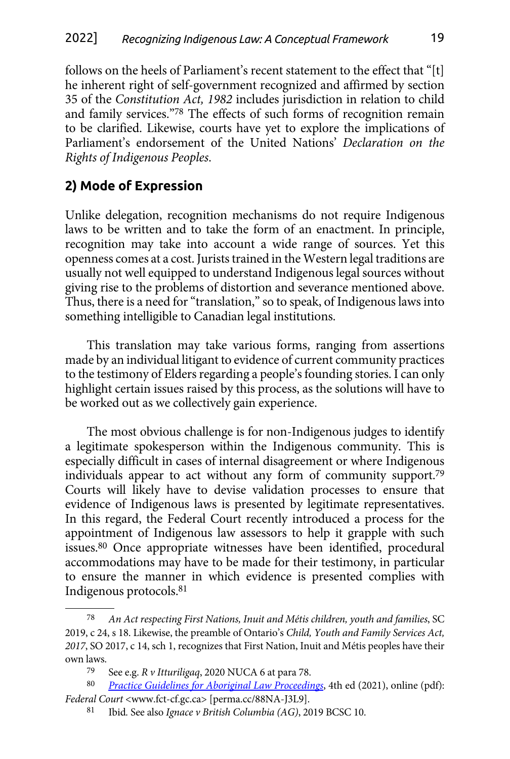<span id="page-18-0"></span>follows on the heels of Parliament's recent statement to the effect that "[t] he inherent right of self-government recognized and affirmed by section 35 of the *Constitution Act, 1982* includes jurisdiction in relation to child and family services."78 The effects of such forms of recognition remain to be clarified. Likewise, courts have yet to explore the implications of Parliament's endorsement of the United Nations' *Declaration on the Rights of Indigenous Peoples*.

# **2) Mode of Expression**

Unlike delegation, recognition mechanisms do not require Indigenous laws to be written and to take the form of an enactment. In principle, recognition may take into account a wide range of sources. Yet this openness comes at a cost. Jurists trained in the Western legal traditions are usually not well equipped to understand Indigenous legal sources without giving rise to the problems of distortion and severance mentioned above. Thus, there is a need for "translation," so to speak, of Indigenous laws into something intelligible to Canadian legal institutions.

This translation may take various forms, ranging from assertions made by an individual litigant to evidence of current community practices to the testimony of Elders regarding a people's founding stories. I can only highlight certain issues raised by this process, as the solutions will have to be worked out as we collectively gain experience.

The most obvious challenge is for non-Indigenous judges to identify a legitimate spokesperson within the Indigenous community. This is especially difficult in cases of internal disagreement or where Indigenous individuals appear to act without any form of community support.79 Courts will likely have to devise validation processes to ensure that evidence of Indigenous laws is presented by legitimate representatives. In this regard, the Federal Court recently introduced a process for the appointment of Indigenous law assessors to help it grapple with such issues.80 Once appropriate witnesses have been identified, procedural accommodations may have to be made for their testimony, in particular to ensure the manner in which evidence is presented complies with Indigenous protocols.81

<sup>78</sup> *An Act respecting First Nations, Inuit and Métis children, youth and families*, SC 2019, c 24, s 18. Likewise, the preamble of Ontario's *Child, Youth and Family Services Act, 2017*, SO 2017, c 14, sch 1, recognizes that First Nation, Inuit and Métis peoples have their own laws.<br>79

See e.g. *R v Itturiligaq*, 2020 NUCA 6 at para 78.

<sup>80</sup> *[Practice Guidelines for Aboriginal Law Proceedings](https://perma.cc/88NA-J3L9)*, 4th ed (2021), online (pdf): *Federal Court* <www.fct-cf.gc.ca> [perma.cc/88NA-J3L9].

<sup>81</sup> Ibid*.* See also *Ignace v British Columbia (AG)*, 2019 BCSC 10.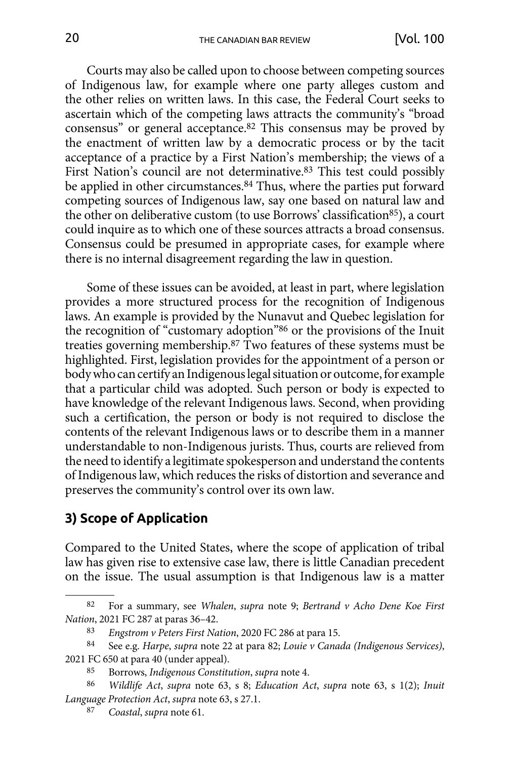<span id="page-19-0"></span>Courts may also be called upon to choose between competing sources of Indigenous law, for example where one party alleges custom and the other relies on written laws. In this case, the Federal Court seeks to ascertain which of the competing laws attracts the community's "broad consensus" or general acceptance.82 This consensus may be proved by the enactment of written law by a democratic process or by the tacit acceptance of a practice by a First Nation's membership; the views of a First Nation's council are not determinative.83 This test could possibly be applied in other circumstances.<sup>84</sup> Thus, where the parties put forward competing sources of Indigenous law, say one based on natural law and the other on deliberative custom (to use Borrows' classification<sup>85</sup>), a court could inquire as to which one of these sources attracts a broad consensus. Consensus could be presumed in appropriate cases, for example where there is no internal disagreement regarding the law in question.

Some of these issues can be avoided, at least in part, where legislation provides a more structured process for the recognition of Indigenous laws. An example is provided by the Nunavut and Quebec legislation for the recognition of "customary adoption"86 or the provisions of the Inuit treaties governing membership.87 Two features of these systems must be highlighted. First, legislation provides for the appointment of a person or body who can certify an Indigenous legal situation or outcome, for example that a particular child was adopted. Such person or body is expected to have knowledge of the relevant Indigenous laws. Second, when providing such a certification, the person or body is not required to disclose the contents of the relevant Indigenous laws or to describe them in a manner understandable to non-Indigenous jurists. Thus, courts are relieved from the need to identify a legitimate spokesperson and understand the contents of Indigenous law, which reduces the risks of distortion and severance and preserves the community's control over its own law.

# **3) Scope of Application**

Compared to the United States, where the scope of application of tribal law has given rise to extensive case law, there is little Canadian precedent on the issue. The usual assumption is that Indigenous law is a matter

<sup>82</sup> For a summary, see *Whalen*, *supra* note 9; *Bertrand v Acho Dene Koe First Nation*, 2021 FC 287 at paras 36–42.

<sup>83</sup> *Engstrom v Peters First Nation*, 2020 FC 286 at para 15.

<sup>84</sup> See e.g. *Harpe*, *supra* note 22 at para 82; *Louie v Canada (Indigenous Services)*, 2021 FC 650 at para 40 (under appeal).

<sup>85</sup> Borrows, *Indigenous Constitution*, *supra* note 4.

<sup>86</sup> *Wildlife Act*, *supra* note 63, s 8; *Education Act*, *supra* note 63, s 1(2); *Inuit Language Protection Act*, *supra* note 63, s 27.1.

<sup>87</sup> *Coastal*, *supra* note 61.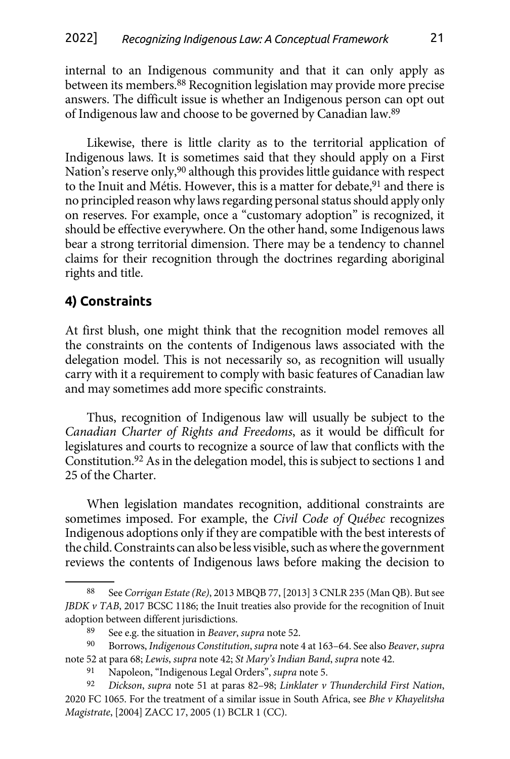<span id="page-20-0"></span>internal to an Indigenous community and that it can only apply as between its members.88 Recognition legislation may provide more precise answers. The difficult issue is whether an Indigenous person can opt out of Indigenous law and choose to be governed by Canadian law.89

Likewise, there is little clarity as to the territorial application of Indigenous laws. It is sometimes said that they should apply on a First Nation's reserve only,<sup>90</sup> although this provides little guidance with respect to the Inuit and Métis. However, this is a matter for debate,<sup>91</sup> and there is no principled reason why laws regarding personal status should apply only on reserves. For example, once a "customary adoption" is recognized, it should be effective everywhere. On the other hand, some Indigenous laws bear a strong territorial dimension. There may be a tendency to channel claims for their recognition through the doctrines regarding aboriginal rights and title.

# **4) Constraints**

At first blush, one might think that the recognition model removes all the constraints on the contents of Indigenous laws associated with the delegation model. This is not necessarily so, as recognition will usually carry with it a requirement to comply with basic features of Canadian law and may sometimes add more specific constraints.

Thus, recognition of Indigenous law will usually be subject to the *Canadian Charter of Rights and Freedoms*, as it would be difficult for legislatures and courts to recognize a source of law that conflicts with the Constitution.92 As in the delegation model, this is subject to sections 1 and 25 of the Charter.

When legislation mandates recognition, additional constraints are sometimes imposed. For example, the *Civil Code of Québec* recognizes Indigenous adoptions only if they are compatible with the best interests of the child. Constraints can also be less visible, such as where the government reviews the contents of Indigenous laws before making the decision to

<sup>88</sup> See *Corrigan Estate (Re)*, 2013 MBQB 77, [2013] 3 CNLR 235 (Man QB). But see *JBDK v TAB*, 2017 BCSC 1186; the Inuit treaties also provide for the recognition of Inuit adoption between different jurisdictions.

<sup>89</sup> See e.g. the situation in *Beaver*, *supra* note 52.

<sup>90</sup> Borrows, *Indigenous Constitution*, *supra* note 4 at 163–64. See also *Beaver*, *supra*  note 52 at para 68; *Lewis*, *supra* note 42; *St Mary's Indian Band*, *supra* note 42.

<sup>91</sup> Napoleon, "Indigenous Legal Orders", *supra* note 5.

<sup>92</sup> *Dickson*, *supra* note 51 at paras 82–98; *Linklater v Thunderchild First Nation*, 2020 FC 1065. For the treatment of a similar issue in South Africa, see *Bhe v Khayelitsha Magistrate*, [2004] ZACC 17, 2005 (1) BCLR 1 (CC).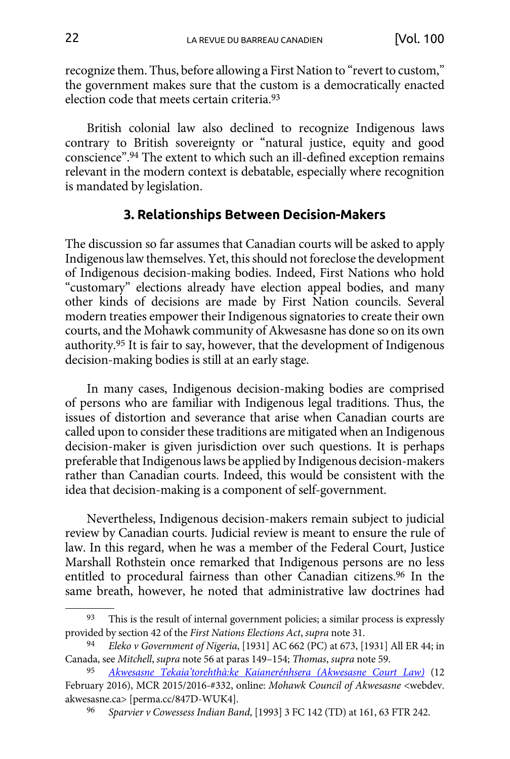<span id="page-21-0"></span>recognize them. Thus, before allowing a First Nation to "revert to custom," the government makes sure that the custom is a democratically enacted election code that meets certain criteria.93

British colonial law also declined to recognize Indigenous laws contrary to British sovereignty or "natural justice, equity and good conscience".94 The extent to which such an ill-defined exception remains relevant in the modern context is debatable, especially where recognition is mandated by legislation.

### **3. Relationships Between Decision-Makers**

The discussion so far assumes that Canadian courts will be asked to apply Indigenous law themselves. Yet, this should not foreclose the development of Indigenous decision-making bodies. Indeed, First Nations who hold "customary" elections already have election appeal bodies, and many other kinds of decisions are made by First Nation councils. Several modern treaties empower their Indigenous signatories to create their own courts, and the Mohawk community of Akwesasne has done so on its own authority.95 It is fair to say, however, that the development of Indigenous decision-making bodies is still at an early stage.

In many cases, Indigenous decision-making bodies are comprised of persons who are familiar with Indigenous legal traditions. Thus, the issues of distortion and severance that arise when Canadian courts are called upon to consider these traditions are mitigated when an Indigenous decision-maker is given jurisdiction over such questions. It is perhaps preferable that Indigenous laws be applied by Indigenous decision-makers rather than Canadian courts. Indeed, this would be consistent with the idea that decision-making is a component of self-government.

Nevertheless, Indigenous decision-makers remain subject to judicial review by Canadian courts. Judicial review is meant to ensure the rule of law. In this regard, when he was a member of the Federal Court, Justice Marshall Rothstein once remarked that Indigenous persons are no less entitled to procedural fairness than other Canadian citizens.96 In the same breath, however, he noted that administrative law doctrines had

This is the result of internal government policies; a similar process is expressly provided by section 42 of the *First Nations Elections Act*, *supra* note 31.

<sup>94</sup> *Eleko v Government of Nigeria*, [1931] AC 662 (PC) at 673, [1931] All ER 44; in Canada, see *Mitchell*, *supra* note 56 at paras 149–154; *Thomas*, *supra* note 59.

<sup>95</sup> *[Akwesasne Tekaia'torehthà:ke Kaianerénhsera \(Akwesasne Court Law\)](https://perma.cc/847D-WUK4)* (12 February 2016), MCR 2015/2016-#332, online: *Mohawk Council of Akwesasne* [<webdev.](webdev.akwesasne.ca/wp-content/uploads/2017/07/mcr-atk-acl2016.pdf) [akwesasne.ca](webdev.akwesasne.ca/wp-content/uploads/2017/07/mcr-atk-acl2016.pdf)> [perma.cc/847D-WUK4].

<sup>96</sup> *Sparvier v Cowessess Indian Band*, [1993] 3 FC 142 (TD) at 161, 63 FTR 242.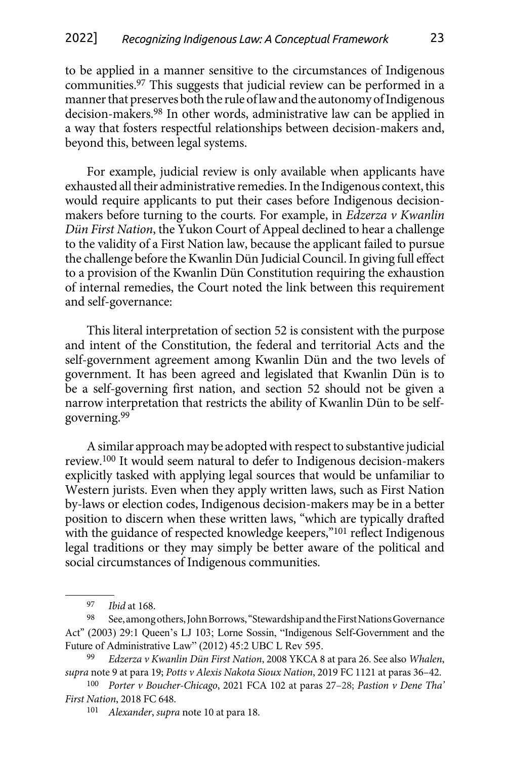to be applied in a manner sensitive to the circumstances of Indigenous communities.97 This suggests that judicial review can be performed in a manner that preserves both the rule of law and the autonomy of Indigenous decision-makers.98 In other words, administrative law can be applied in a way that fosters respectful relationships between decision-makers and, beyond this, between legal systems.

For example, judicial review is only available when applicants have exhausted all their administrative remedies. In the Indigenous context, this would require applicants to put their cases before Indigenous decisionmakers before turning to the courts. For example, in *Edzerza v Kwanlin Dün First Nation*, the Yukon Court of Appeal declined to hear a challenge to the validity of a First Nation law, because the applicant failed to pursue the challenge before the Kwanlin Dün Judicial Council. In giving full effect to a provision of the Kwanlin Dün Constitution requiring the exhaustion of internal remedies, the Court noted the link between this requirement and self-governance:

This literal interpretation of section 52 is consistent with the purpose and intent of the Constitution, the federal and territorial Acts and the self-government agreement among Kwanlin Dün and the two levels of government. It has been agreed and legislated that Kwanlin Dün is to be a self-governing first nation, and section 52 should not be given a narrow interpretation that restricts the ability of Kwanlin Dün to be selfgoverning.99

A similar approach may be adopted with respect to substantive judicial review.100 It would seem natural to defer to Indigenous decision-makers explicitly tasked with applying legal sources that would be unfamiliar to Western jurists. Even when they apply written laws, such as First Nation by-laws or election codes, Indigenous decision-makers may be in a better position to discern when these written laws, "which are typically drafted with the guidance of respected knowledge keepers,"<sup>101</sup> reflect Indigenous legal traditions or they may simply be better aware of the political and social circumstances of Indigenous communities.

<sup>97</sup> *Ibid* at 168.

<sup>98</sup> See, among others, John Borrows, "Stewardship and the First Nations Governance Act" (2003) 29:1 Queen's LJ 103; Lorne Sossin, "Indigenous Self-Government and the Future of Administrative Law" (2012) 45:2 UBC L Rev 595.

<sup>99</sup> *Edzerza v Kwanlin Dün First Nation*, 2008 YKCA 8 at para 26. See also *Whalen*, *supra* note 9 at para 19; *Potts v Alexis Nakota Sioux Nation*, 2019 FC 1121 at paras 36–42.

<sup>100</sup> *Porter v Boucher-Chicago*, 2021 FCA 102 at paras 27–28; *Pastion v Dene Tha' First Nation*, 2018 FC 648.

<sup>101</sup> *Alexander*, *supra* note 10 at para 18.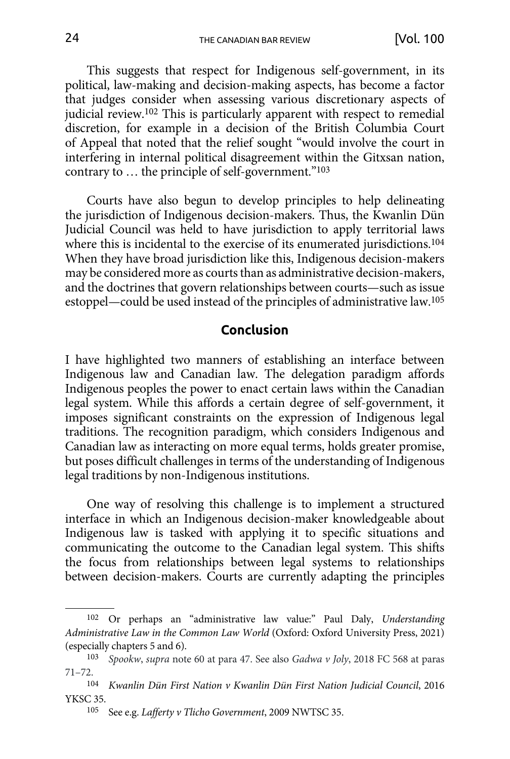<span id="page-23-0"></span>This suggests that respect for Indigenous self-government, in its political, law-making and decision-making aspects, has become a factor that judges consider when assessing various discretionary aspects of judicial review.102 This is particularly apparent with respect to remedial discretion, for example in a decision of the British Columbia Court of Appeal that noted that the relief sought "would involve the court in interfering in internal political disagreement within the Gitxsan nation, contrary to … the principle of self-government."103

Courts have also begun to develop principles to help delineating the jurisdiction of Indigenous decision-makers. Thus, the Kwanlin Dün Judicial Council was held to have jurisdiction to apply territorial laws where this is incidental to the exercise of its enumerated jurisdictions.<sup>104</sup> When they have broad jurisdiction like this, Indigenous decision-makers may be considered more as courts than as administrative decision-makers, and the doctrines that govern relationships between courts—such as issue estoppel—could be used instead of the principles of administrative law.105

#### **Conclusion**

I have highlighted two manners of establishing an interface between Indigenous law and Canadian law. The delegation paradigm affords Indigenous peoples the power to enact certain laws within the Canadian legal system. While this affords a certain degree of self-government, it imposes significant constraints on the expression of Indigenous legal traditions. The recognition paradigm, which considers Indigenous and Canadian law as interacting on more equal terms, holds greater promise, but poses difficult challenges in terms of the understanding of Indigenous legal traditions by non-Indigenous institutions.

One way of resolving this challenge is to implement a structured interface in which an Indigenous decision-maker knowledgeable about Indigenous law is tasked with applying it to specific situations and communicating the outcome to the Canadian legal system. This shifts the focus from relationships between legal systems to relationships between decision-makers. Courts are currently adapting the principles

<sup>102</sup> Or perhaps an "administrative law value:" Paul Daly, *Understanding Administrative Law in the Common Law World* (Oxford: Oxford University Press, 2021) (especially chapters 5 and 6).

<sup>103</sup> *Spookw*, *supra* note 60 at para 47. See also *Gadwa v Joly*, 2018 FC 568 at paras 71–72.

<sup>104</sup> *Kwanlin Dün First Nation v Kwanlin Dün First Nation Judicial Council*, 2016 YKSC 35.

<sup>105</sup> See e.g. *Lafferty v Tlicho Government*, 2009 NWTSC 35.